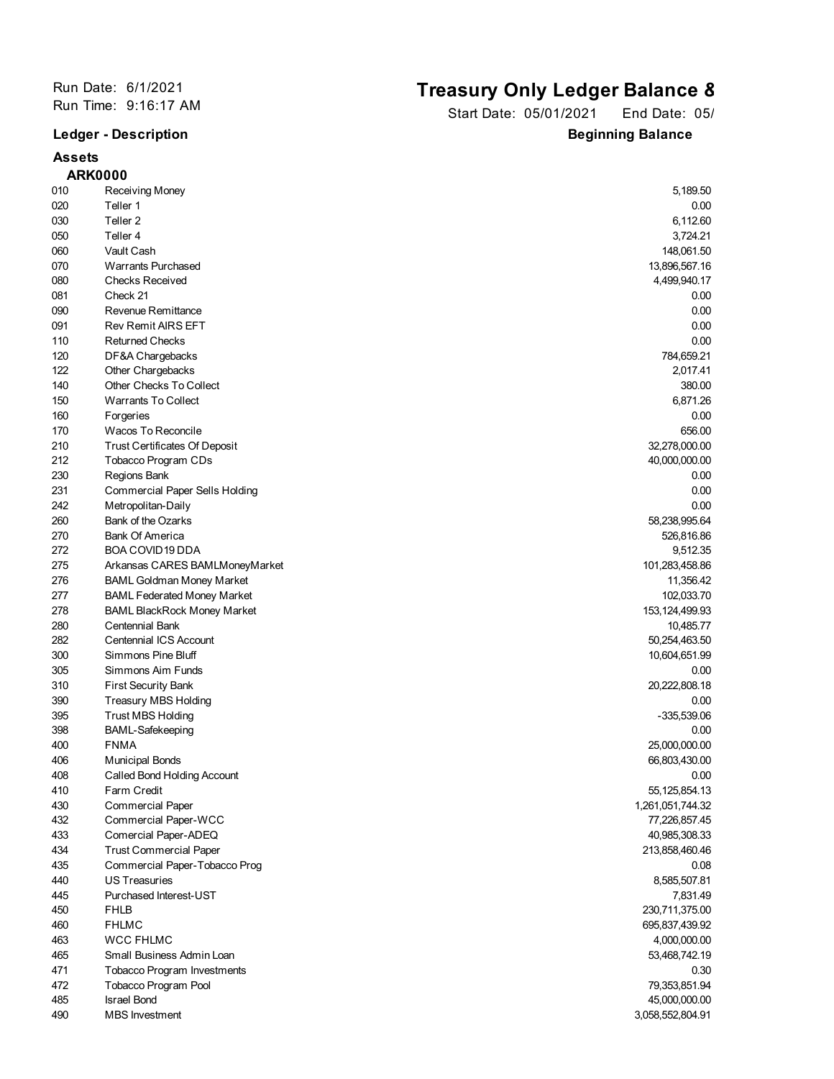## **Assets**

## Run Date: 6/1/2021<br>
Run Time: 9:16:17 AM<br> **Run Time: 9:16:17 AM**<br> **Activity Result Rate: 05/01/2021**<br> **Activity Result Rate: 05/01/2021**

Start Date: 05/01/2021 End Date: 05/ **Ledger - Description Beginning Balance** 

| <b>ARK0000</b> |                                      |                   |  |  |
|----------------|--------------------------------------|-------------------|--|--|
| 010            | <b>Receiving Money</b>               | 5,189.50          |  |  |
| 020            | Teller 1                             | 0.00              |  |  |
| 030            | Teller <sub>2</sub>                  | 6,112.60          |  |  |
| 050            | Teller 4                             | 3,724.21          |  |  |
| 060            | Vault Cash                           | 148,061.50        |  |  |
| 070            | <b>Warrants Purchased</b>            | 13,896,567.16     |  |  |
| 080            | <b>Checks Received</b>               | 4,499,940.17      |  |  |
| 081            | Check 21                             | 0.00              |  |  |
| 090            | Revenue Remittance                   | 0.00              |  |  |
| 091            | <b>Rev Remit AIRS EFT</b>            | 0.00              |  |  |
| 110            | <b>Returned Checks</b>               | 0.00              |  |  |
| 120            | DF&A Chargebacks                     | 784,659.21        |  |  |
| 122            | Other Chargebacks                    | 2,017.41          |  |  |
| 140            | Other Checks To Collect              | 380.00            |  |  |
| 150            | Warrants To Collect                  | 6,871.26          |  |  |
| 160            | Forgeries                            | 0.00              |  |  |
| 170            | Wacos To Reconcile                   | 656.00            |  |  |
| 210            |                                      |                   |  |  |
|                | <b>Trust Certificates Of Deposit</b> | 32,278,000.00     |  |  |
| 212            | Tobacco Program CDs                  | 40,000,000.00     |  |  |
| 230            | Regions Bank                         | 0.00              |  |  |
| 231            | Commercial Paper Sells Holding       | 0.00              |  |  |
| 242            | Metropolitan-Daily                   | 0.00              |  |  |
| 260            | Bank of the Ozarks                   | 58,238,995.64     |  |  |
| 270            | <b>Bank Of America</b>               | 526,816.86        |  |  |
| 272            | BOA COVID19 DDA                      | 9,512.35          |  |  |
| 275            | Arkansas CARES BAMLMoneyMarket       | 101,283,458.86    |  |  |
| 276            | <b>BAML Goldman Money Market</b>     | 11,356.42         |  |  |
| 277            | <b>BAML Federated Money Market</b>   | 102,033.70        |  |  |
| 278            | <b>BAML BlackRock Money Market</b>   | 153, 124, 499. 93 |  |  |
| 280            | Centennial Bank                      | 10,485.77         |  |  |
| 282            | <b>Centennial ICS Account</b>        | 50,254,463.50     |  |  |
| 300            | Simmons Pine Bluff                   | 10,604,651.99     |  |  |
| 305            | Simmons Aim Funds                    | 0.00              |  |  |
| 310            | <b>First Security Bank</b>           | 20,222,808.18     |  |  |
| 390            | Treasury MBS Holding                 | 0.00              |  |  |
| 395            | <b>Trust MBS Holding</b>             | $-335,539.06$     |  |  |
| 398            | <b>BAML-Safekeeping</b>              | 0.00              |  |  |
| 400            | <b>FNMA</b>                          | 25,000,000.00     |  |  |
| 406            | <b>Municipal Bonds</b>               | 66,803,430.00     |  |  |
| 408            | Called Bond Holding Account          | 0.00              |  |  |
| 410            | Farm Credit                          | 55, 125, 854. 13  |  |  |
| 430            | <b>Commercial Paper</b>              | 1,261,051,744.32  |  |  |
| 432            | Commercial Paper-WCC                 | 77,226,857.45     |  |  |
| 433            | Comercial Paper-ADEQ                 | 40,985,308.33     |  |  |
| 434            | <b>Trust Commercial Paper</b>        | 213,858,460.46    |  |  |
| 435            | Commercial Paper-Tobacco Prog        | 0.08              |  |  |
| 440            | <b>US Treasuries</b>                 | 8,585,507.81      |  |  |
| 445            | Purchased Interest-UST               | 7,831.49          |  |  |
| 450            | <b>FHLB</b>                          | 230,711,375.00    |  |  |
| 460            | <b>FHLMC</b>                         | 695,837,439.92    |  |  |
| 463            | <b>WCC FHLMC</b>                     | 4,000,000.00      |  |  |
| 465            | Small Business Admin Loan            | 53,468,742.19     |  |  |
| 471            | Tobacco Program Investments          | 0.30              |  |  |
| 472            | Tobacco Program Pool                 | 79,353,851.94     |  |  |
| 485            | <b>Israel Bond</b>                   | 45,000,000.00     |  |  |
| 490            | <b>MBS</b> Investment                | 3,058,552,804.91  |  |  |
|                |                                      |                   |  |  |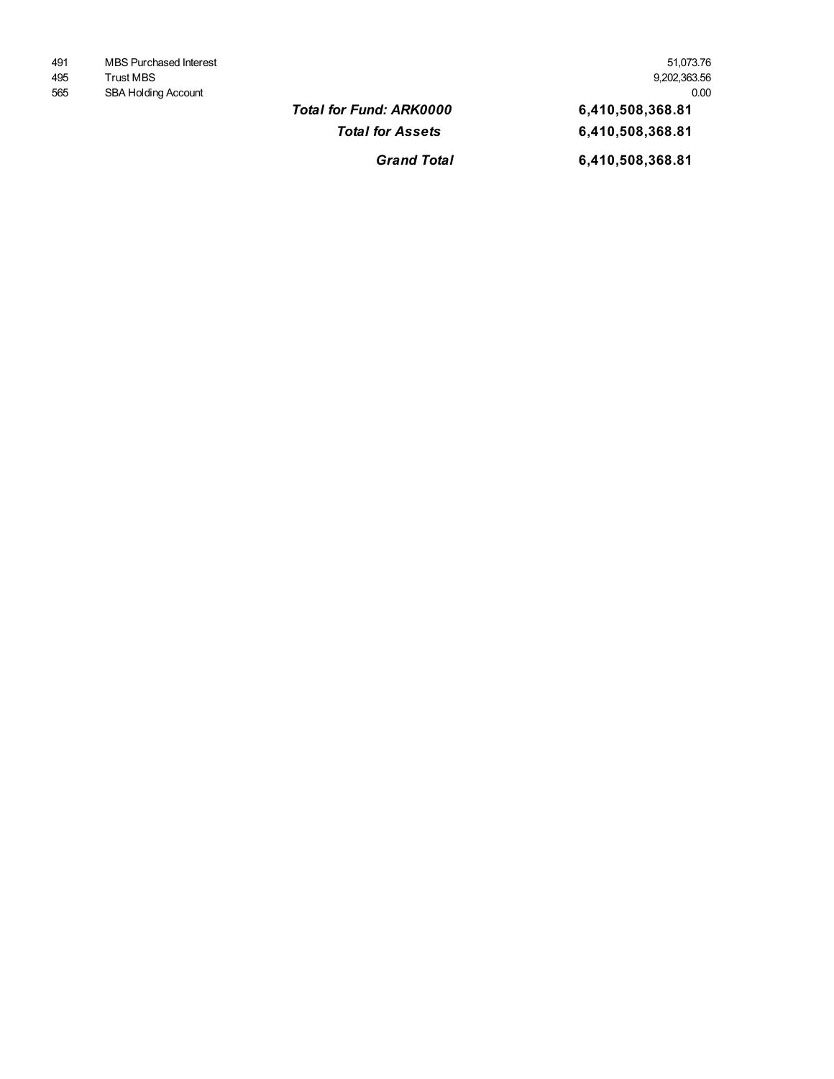| 491 | MBS Purchased Interest | 51.073.76    |
|-----|------------------------|--------------|
| 495 | Trust MBS              | 9.202.363.56 |
| 565 | SBA Holding Account    | 0.00         |

*Grand Total* **6,410,508,368.81 22,300,257,063.68** *Total for Fund: ARK0000* **6,410,508,368.81 22,300,257,063.68** *Total for Assets* **6,410,508,368.81 22,300,257,063.68** 565 SBA Holding Account 0.00 495 Trust MBS 9,202,363.56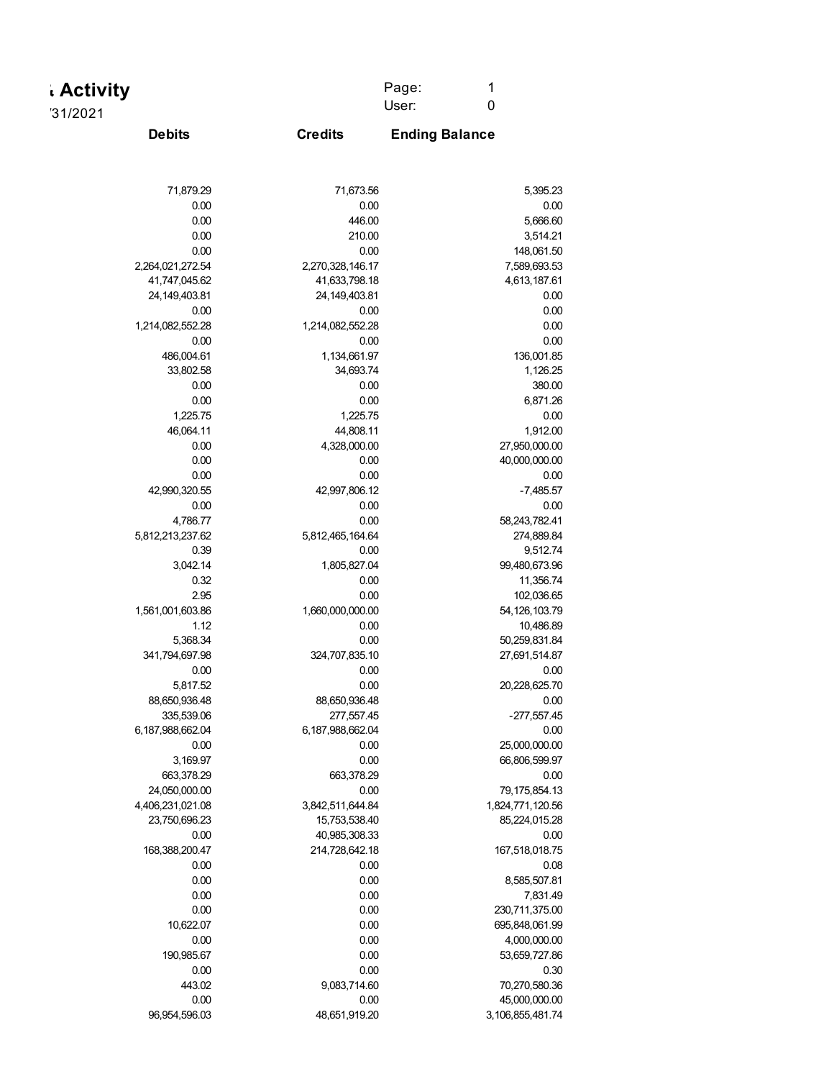| Page: |  |
|-------|--|
| User: |  |
|       |  |

## **Credits Debits Ending Balance**

| 71,879.29        | 71,673.56        | 5,395.23         |
|------------------|------------------|------------------|
| 0.00             | 0.00             | 0.00             |
| 0.00             | 446.00           | 5,666.60         |
| 0.00             | 210.00           | 3,514.21         |
| 0.00             | 0.00             | 148,061.50       |
| 2,264,021,272.54 | 2,270,328,146.17 | 7,589,693.53     |
| 41,747,045.62    | 41,633,798.18    | 4,613,187.61     |
| 24,149,403.81    | 24,149,403.81    | 0.00             |
| 0.00             | 0.00             | 0.00             |
| 1,214,082,552.28 | 1,214,082,552.28 | 0.00             |
| 0.00             | 0.00             | 0.00             |
| 486,004.61       | 1,134,661.97     | 136,001.85       |
| 33,802.58        | 34,693.74        | 1,126.25         |
| 0.00             | 0.00             | 380.00           |
|                  |                  |                  |
| 0.00             | 0.00             | 6,871.26         |
| 1,225.75         | 1,225.75         | 0.00             |
| 46,064.11        | 44,808.11        | 1,912.00         |
| 0.00             | 4,328,000.00     | 27,950,000.00    |
| 0.00             | 0.00             | 40,000,000.00    |
| 0.00             | 0.00             | 0.00             |
| 42,990,320.55    | 42,997,806.12    | $-7,485.57$      |
| 0.00             | 0.00             | 0.00             |
| 4,786.77         | 0.00             | 58,243,782.41    |
| 5,812,213,237.62 | 5,812,465,164.64 | 274,889.84       |
| 0.39             | 0.00             | 9,512.74         |
| 3,042.14         | 1,805,827.04     | 99,480,673.96    |
| 0.32             | 0.00             | 11,356.74        |
| 2.95             | 0.00             | 102,036.65       |
| 1,561,001,603.86 | 1,660,000,000.00 | 54, 126, 103.79  |
| 1.12             | 0.00             | 10,486.89        |
| 5,368.34         | 0.00             | 50,259,831.84    |
| 341,794,697.98   | 324,707,835.10   | 27,691,514.87    |
| 0.00             | 0.00             | 0.00             |
| 5,817.52         | 0.00             | 20,228,625.70    |
|                  |                  |                  |
| 88,650,936.48    | 88,650,936.48    | 0.00             |
| 335,539.06       | 277,557.45       | -277,557.45      |
| 6,187,988,662.04 | 6,187,988,662.04 | 0.00             |
| 0.00             | 0.00             | 25,000,000.00    |
| 3,169.97         | 0.00             | 66,806,599.97    |
| 663,378.29       | 663,378.29       | 0.00             |
| 24,050,000.00    | 0.00             | 79, 175, 854. 13 |
| 4,406,231,021.08 | 3,842,511,644.84 | 1,824,771,120.56 |
| 23,750,696.23    | 15,753,538.40    | 85,224,015.28    |
| 0.00             | 40,985,308.33    | 0.00             |
| 168,388,200.47   | 214,728,642.18   | 167,518,018.75   |
| 0.00             | 0.00             | 0.08             |
| 0.00             | 0.00             | 8,585,507.81     |
| 0.00             | 0.00             | 7,831.49         |
| 0.00             | 0.00             | 230,711,375.00   |
| 10,622.07        | 0.00             | 695,848,061.99   |
| 0.00             | 0.00             | 4,000,000.00     |
| 190,985.67       | 0.00             | 53,659,727.86    |
| 0.00             | 0.00             | 0.30             |
| 443.02           | 9,083,714.60     | 70,270,580.36    |
|                  |                  |                  |
| 0.00             | 0.00             | 45,000,000.00    |
| 96,954,596.03    | 48,651,919.20    | 3,106,855,481.74 |